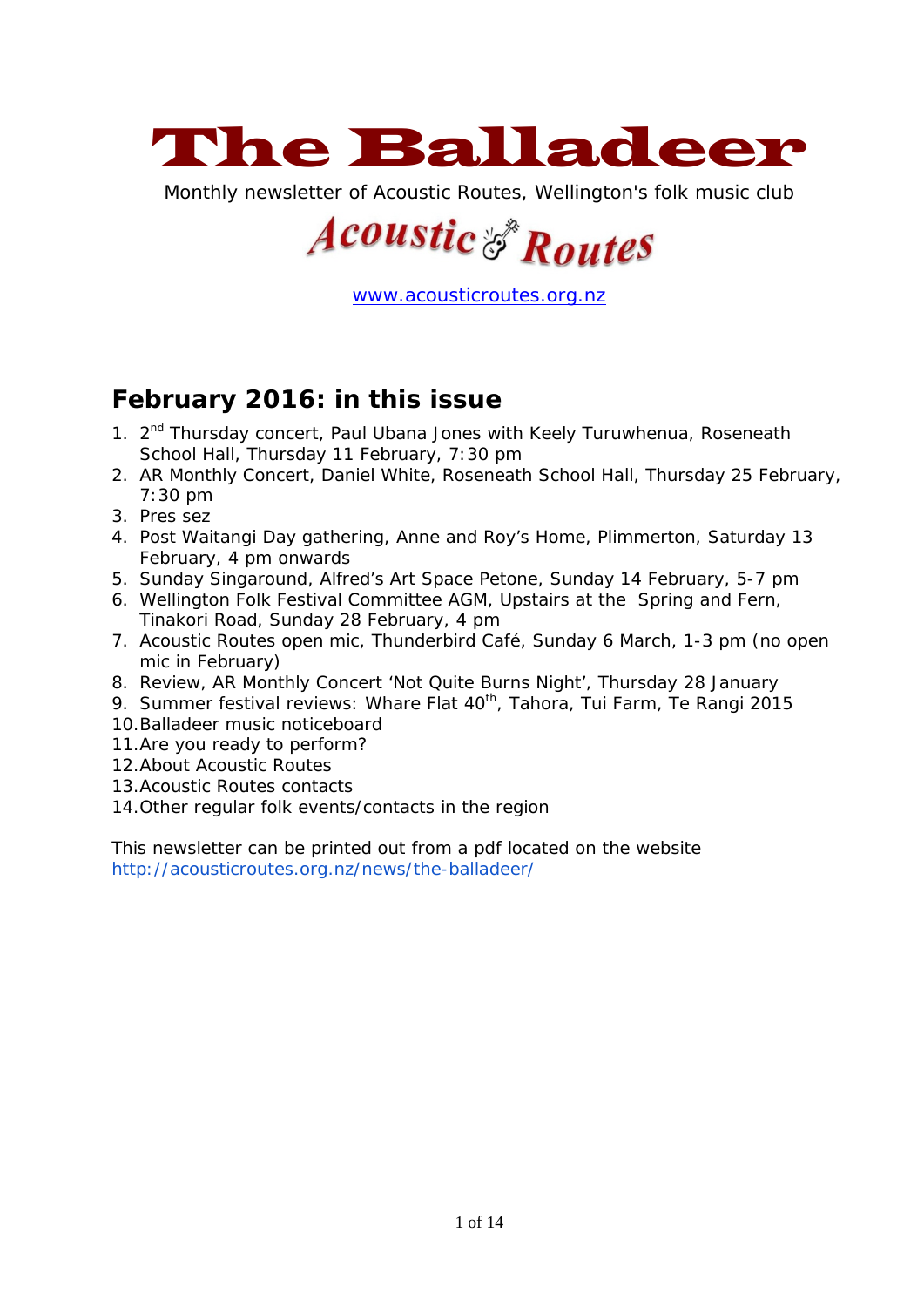

Monthly newsletter of Acoustic Routes, Wellington's folk music club

# **Acoustic & Routes**

[www.acousticroutes.org.nz](http://www.acousticroutes.org.nz/)

# **February 2016: in this issue**

- 1. 2<sup>nd</sup> Thursday concert, Paul Ubana Jones with Keely Turuwhenua, Roseneath School Hall, Thursday 11 February, 7:30 pm
- 2. AR Monthly Concert, Daniel White, Roseneath School Hall, Thursday 25 February, 7:30 pm
- 3. Pres sez
- 4. Post Waitangi Day gathering, Anne and Roy's Home, Plimmerton, Saturday 13 February, 4 pm onwards
- 5. Sunday Singaround, Alfred's Art Space Petone, Sunday 14 February, 5-7 pm
- 6. Wellington Folk Festival Committee AGM, Upstairs at the Spring and Fern, Tinakori Road, Sunday 28 February, 4 pm
- 7. Acoustic Routes open mic, Thunderbird Café, Sunday 6 March, 1-3 pm (no open mic in February)
- 8. Review, AR Monthly Concert 'Not Quite Burns Night', Thursday 28 January
- 9. Summer festival reviews: Whare Flat 40<sup>th</sup>, Tahora, Tui Farm, Te Rangi 2015
- 10.Balladeer music noticeboard
- 11.Are you ready to perform?
- 12.About Acoustic Routes
- 13.Acoustic Routes contacts
- 14.Other regular folk events/contacts in the region

This newsletter can be printed out from a pdf located on the website <http://acousticroutes.org.nz/news/the-balladeer/>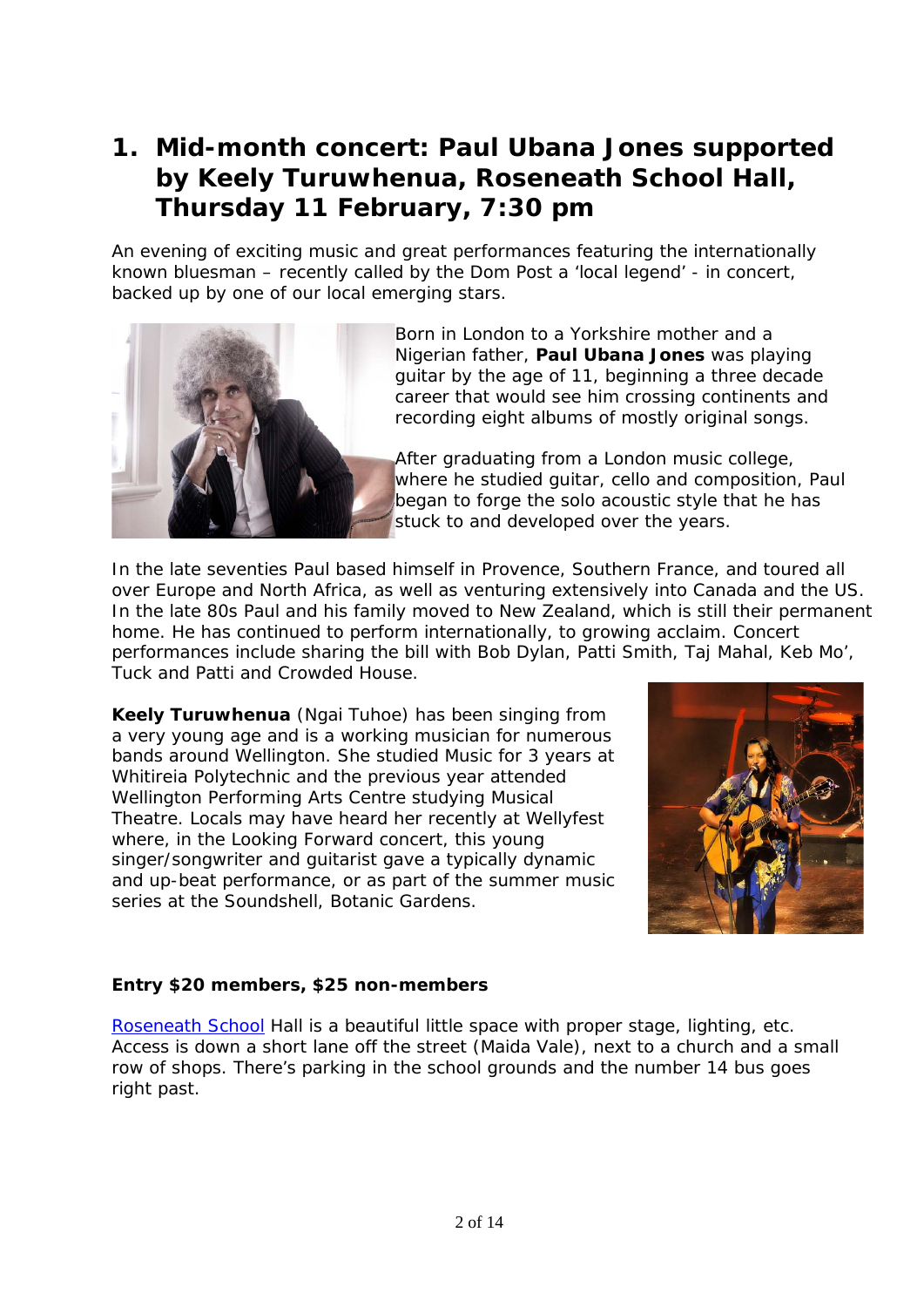# **1. Mid-month concert: Paul Ubana Jones supported by Keely Turuwhenua, Roseneath School Hall, Thursday 11 February, 7:30 pm**

An evening of exciting music and great performances featuring the internationally known bluesman – recently called by the Dom Post a 'local legend' - in concert, backed up by one of our local emerging stars.



Born in London to a Yorkshire mother and a Nigerian father, **Paul Ubana Jones** was playing guitar by the age of 11, beginning a three decade career that would see him crossing continents and recording eight albums of mostly original songs.

After graduating from a London music college, where he studied guitar, cello and composition, Paul began to forge the solo acoustic style that he has stuck to and developed over the years.

In the late seventies Paul based himself in Provence, Southern France, and toured all over Europe and North Africa, as well as venturing extensively into Canada and the US. In the late 80s Paul and his family moved to New Zealand, which is still their permanent home. He has continued to perform internationally, to growing acclaim. Concert performances include sharing the bill with Bob Dylan, Patti Smith, Taj Mahal, Keb Mo', Tuck and Patti and Crowded House.

**Keely Turuwhenua** (Ngai Tuhoe) has been singing from a very young age and is a working musician for numerous bands around Wellington. She studied Music for 3 years at Whitireia Polytechnic and the previous year attended Wellington Performing Arts Centre studying Musical Theatre. Locals may have heard her recently at Wellyfest where, in the Looking Forward concert, this young singer/songwriter and guitarist gave a typically dynamic and up-beat performance, or as part of the summer music series at the Soundshell, Botanic Gardens.



#### **Entry \$20 members, \$25 non-members**

[Roseneath School](https://maps.google.com/maps?q=Roseneath+School,+Maida+Vale+Road,+Wellington,+New+Zealand&hl=en&ll=-41.286546,174.803081&spn=0.009094,0.01708&sll=-40.799894,175.310128&sspn=37.337214,69.960938&oq=roseneath+school&hq=Roseneath+School,&hnear=Maida+Vale+Rd,+R) Hall is a beautiful little space with proper stage, lighting, etc. Access is down a short lane off the street (Maida Vale), next to a church and a small row of shops. There's parking in the school grounds and the number 14 bus goes right past.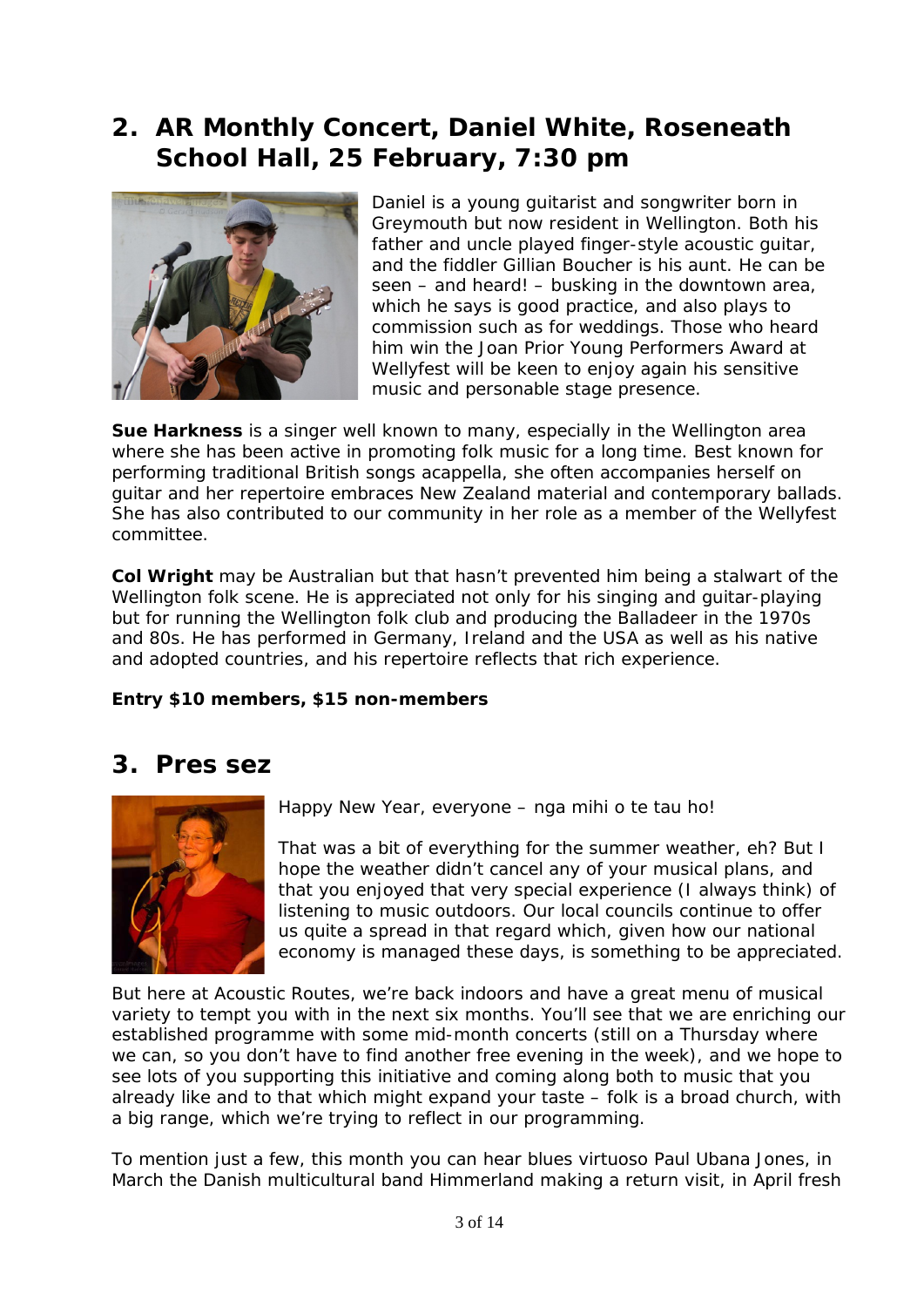# **2. AR Monthly Concert, Daniel White, Roseneath School Hall, 25 February, 7:30 pm**



Daniel is a young guitarist and songwriter born in Greymouth but now resident in Wellington. Both his father and uncle played finger-style acoustic guitar, and the fiddler Gillian Boucher is his aunt. He can be seen – and heard! – busking in the downtown area, which he says is good practice, and also plays to commission such as for weddings. Those who heard him win the Joan Prior Young Performers Award at Wellyfest will be keen to enjoy again his sensitive music and personable stage presence.

**Sue Harkness** is a singer well known to many, especially in the Wellington area where she has been active in promoting folk music for a long time. Best known for performing traditional British songs acappella, she often accompanies herself on guitar and her repertoire embraces New Zealand material and contemporary ballads. She has also contributed to our community in her role as a member of the Wellyfest committee.

**Col Wright** may be Australian but that hasn't prevented him being a stalwart of the Wellington folk scene. He is appreciated not only for his singing and guitar-playing but for running the Wellington folk club and producing the Balladeer in the 1970s and 80s. He has performed in Germany, Ireland and the USA as well as his native and adopted countries, and his repertoire reflects that rich experience.

#### **Entry \$10 members, \$15 non-members**

## **3. Pres sez**



Happy New Year, everyone – nga mihi o te tau ho!

That was a bit of everything for the summer weather, eh? But I hope the weather didn't cancel any of your musical plans, and that you enjoyed that very special experience (I always think) of listening to music outdoors. Our local councils continue to offer us quite a spread in that regard which, given how our national economy is managed these days, is something to be appreciated.

But here at Acoustic Routes, we're back indoors and have a great menu of musical variety to tempt you with in the next six months. You'll see that we are enriching our established programme with some mid-month concerts (still on a Thursday where we can, so you don't have to find another free evening in the week), and we hope to see lots of you supporting this initiative and coming along both to music that you already like and to that which might expand your taste – folk is a broad church, with a big range, which we're trying to reflect in our programming.

To mention just a few, this month you can hear blues virtuoso Paul Ubana Jones, in March the Danish multicultural band Himmerland making a return visit, in April fresh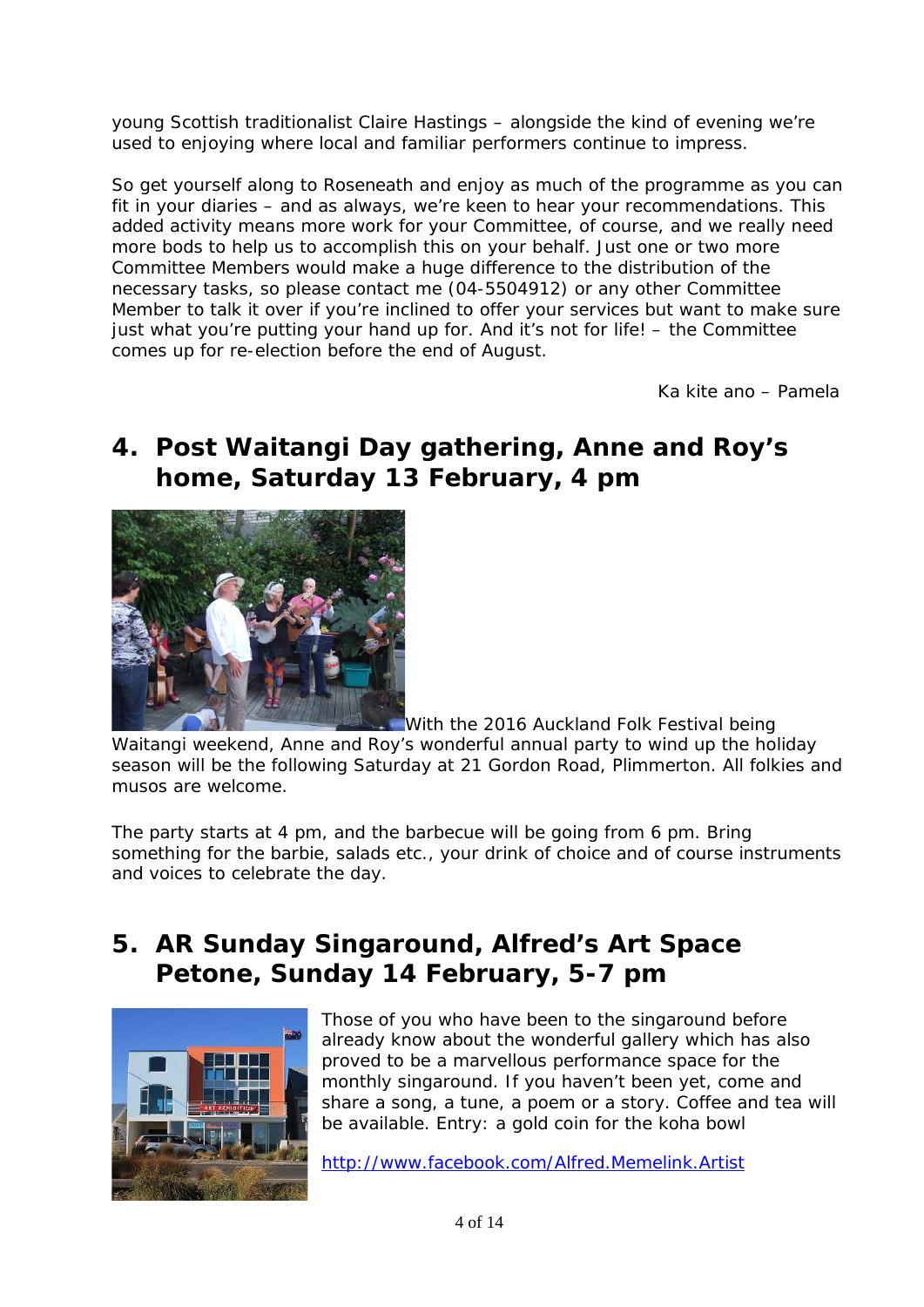young Scottish traditionalist Claire Hastings – alongside the kind of evening we're used to enjoying where local and familiar performers continue to impress.

So get yourself along to Roseneath and enjoy as much of the programme as you can fit in your diaries – and as always, we're keen to hear your recommendations. This added activity means more work for your Committee, of course, and we really need more bods to help us to accomplish this on your behalf. Just one or two more Committee Members would make a huge difference to the distribution of the necessary tasks, so please contact me (04-5504912) or any other Committee Member to talk it over if you're inclined to offer your services but want to make sure just what you're putting your hand up for. And it's not for life! – the Committee comes up for re-election before the end of August.

Ka kite ano – Pamela

# **4. Post Waitangi Day gathering, Anne and Roy's home, Saturday 13 February, 4 pm**



With the 2016 Auckland Folk Festival being

Waitangi weekend, Anne and Roy's wonderful annual party to wind up the holiday season will be the following Saturday at 21 Gordon Road, Plimmerton. All folkies and musos are welcome.

The party starts at 4 pm, and the barbecue will be going from 6 pm. Bring something for the barbie, salads etc., your drink of choice and of course instruments and voices to celebrate the day.

## **5. AR Sunday Singaround, Alfred's Art Space Petone, Sunday 14 February, 5-7 pm**



Those of you who have been to the singaround before already know about the wonderful gallery which has also proved to be a marvellous performance space for the monthly singaround. If you haven't been yet, come and share a song, a tune, a poem or a story. Coffee and tea will be available. Entry: a gold coin for the koha bowl

<http://www.facebook.com/Alfred.Memelink.Artist>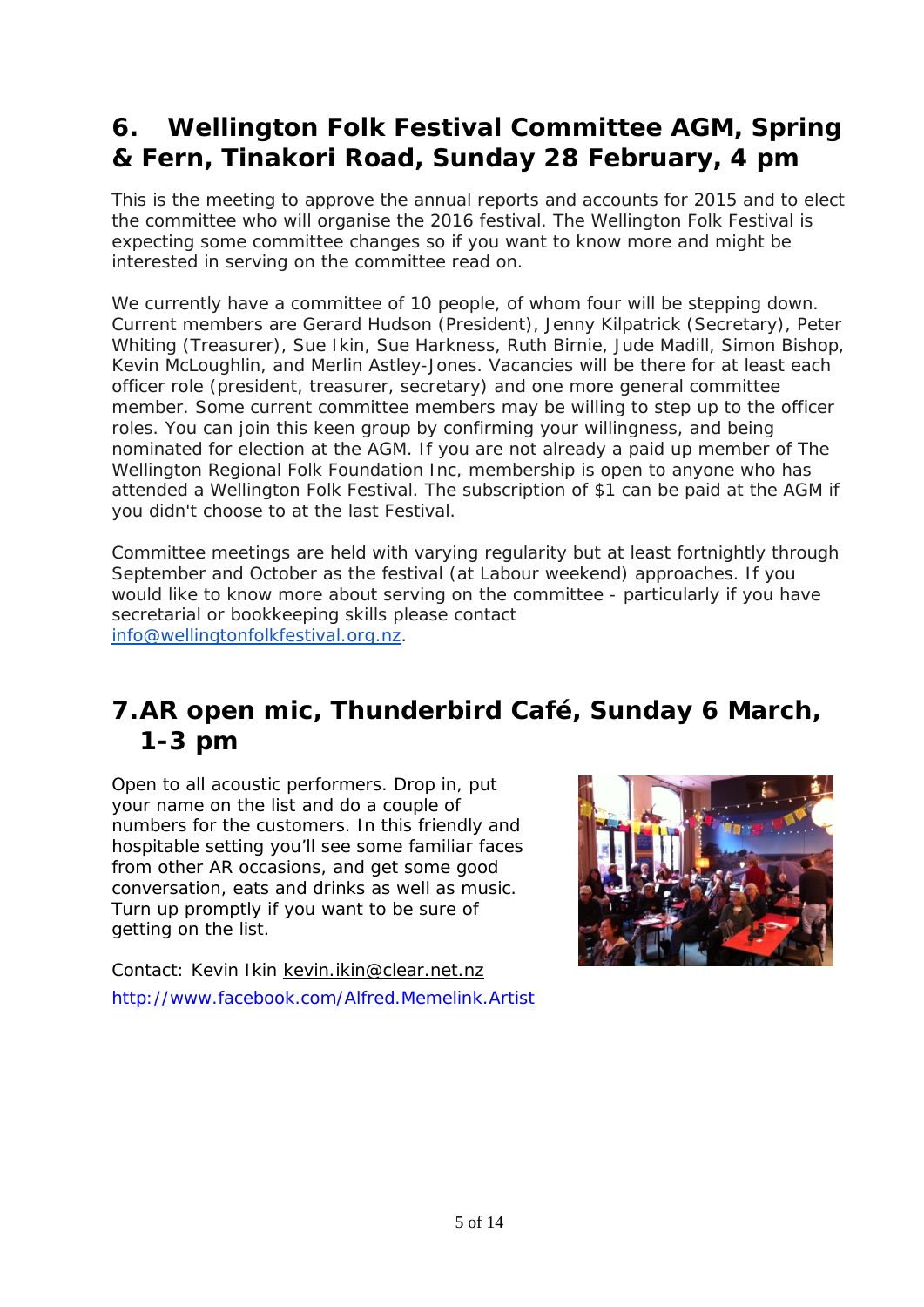# **6. Wellington Folk Festival Committee AGM, Spring & Fern, Tinakori Road, Sunday 28 February, 4 pm**

This is the meeting to approve the annual reports and accounts for 2015 and to elect the committee who will organise the 2016 festival. The Wellington Folk Festival is expecting some committee changes so if you want to know more and might be interested in serving on the committee read on.

We currently have a committee of 10 people, of whom four will be stepping down. Current members are Gerard Hudson (President), Jenny Kilpatrick (Secretary), Peter Whiting (Treasurer), Sue Ikin, Sue Harkness, Ruth Birnie, Jude Madill, Simon Bishop, Kevin McLoughlin, and Merlin Astley-Jones. Vacancies will be there for at least each officer role (president, treasurer, secretary) and one more general committee member. Some current committee members may be willing to step up to the officer roles. You can join this keen group by confirming your willingness, and being nominated for election at the AGM. If you are not already a paid up member of The Wellington Regional Folk Foundation Inc, membership is open to anyone who has attended a Wellington Folk Festival. The subscription of \$1 can be paid at the AGM if you didn't choose to at the last Festival.

Committee meetings are held with varying regularity but at least fortnightly through September and October as the festival (at Labour weekend) approaches. If you would like to know more about serving on the committee - particularly if you have secretarial or bookkeeping skills please contact [info@wellingtonfolkfestival.org.nz.](mailto:info@wellingtonfolkfestival.org.nz)

# **7.AR open mic, Thunderbird Café, Sunday 6 March, 1-3 pm**

Open to all acoustic performers. Drop in, put your name on the list and do a couple of numbers for the customers. In this friendly and hospitable setting you'll see some familiar faces from other AR occasions, and get some good conversation, eats and drinks as well as music. Turn up promptly if you want to be sure of getting on the list.

Contact: Kevin Ikin [kevin.ikin@clear.net.nz](mailto:kevin.ikin@clear.net.nz) <http://www.facebook.com/Alfred.Memelink.Artist>

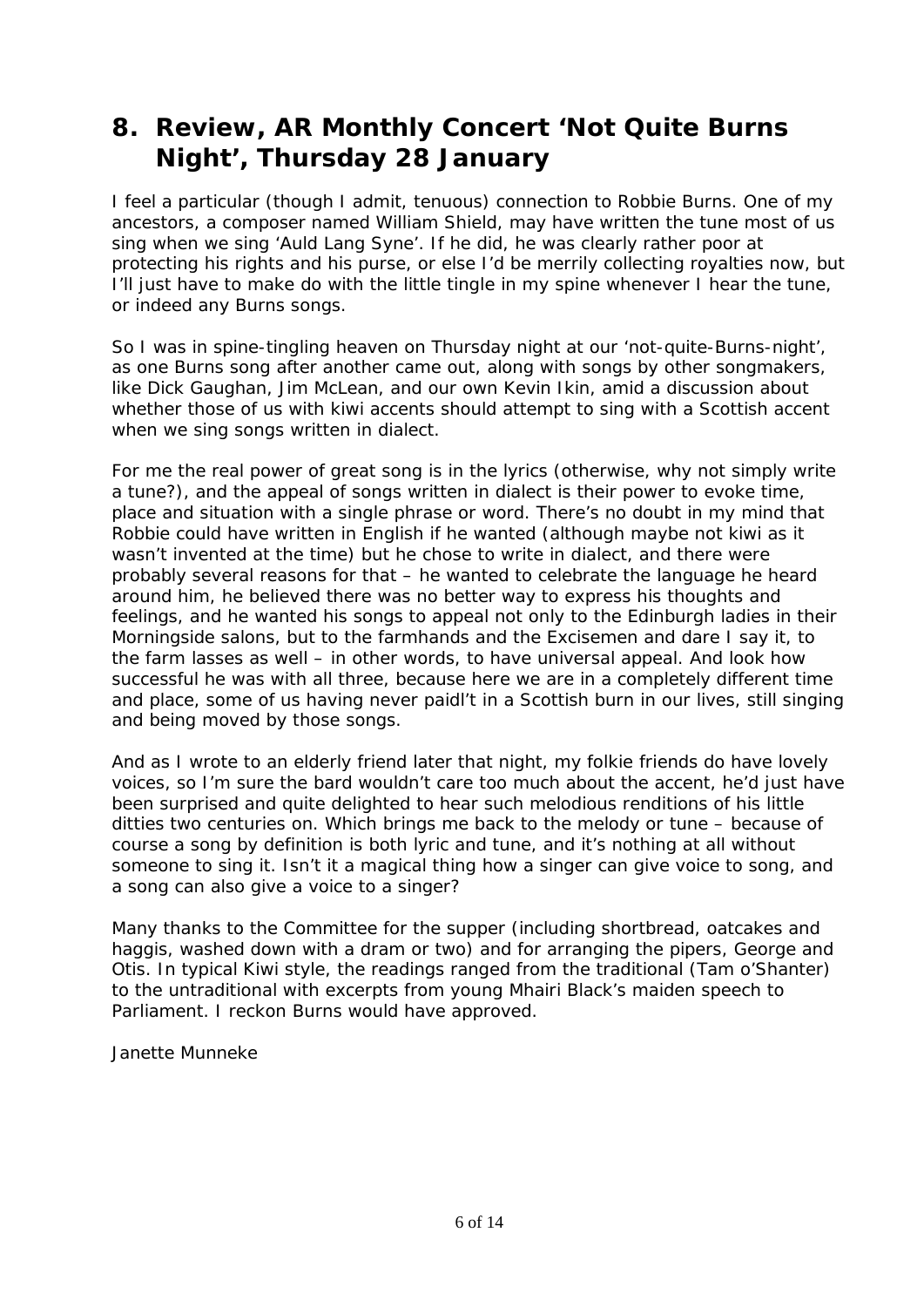# **8. Review, AR Monthly Concert 'Not Quite Burns Night', Thursday 28 January**

I feel a particular (though I admit, tenuous) connection to Robbie Burns. One of my ancestors, a composer named William Shield, may have written the tune most of us sing when we sing 'Auld Lang Syne'. If he did, he was clearly rather poor at protecting his rights and his purse, or else I'd be merrily collecting royalties now, but I'll just have to make do with the little tingle in my spine whenever I hear the tune, or indeed any Burns songs.

So I was in spine-tingling heaven on Thursday night at our 'not-quite-Burns-night', as one Burns song after another came out, along with songs by other songmakers, like Dick Gaughan, Jim McLean, and our own Kevin Ikin, amid a discussion about whether those of us with kiwi accents should attempt to sing with a Scottish accent when we sing songs written in dialect.

For me the real power of great song is in the lyrics (otherwise, why not simply write a tune?), and the appeal of songs written in dialect is their power to evoke time, place and situation with a single phrase or word. There's no doubt in my mind that Robbie could have written in English if he wanted (although maybe not kiwi as it wasn't invented at the time) but he chose to write in dialect, and there were probably several reasons for that – he wanted to celebrate the language he heard around him, he believed there was no better way to express his thoughts and feelings, and he wanted his songs to appeal not only to the Edinburgh ladies in their Morningside salons, but to the farmhands and the Excisemen and dare I say it, to the farm lasses as well – in other words, to have universal appeal. And look how successful he was with all three, because here we are in a completely different time and place, some of us having never paidl't in a Scottish burn in our lives, still singing and being moved by those songs.

And as I wrote to an elderly friend later that night, my folkie friends do have lovely voices, so I'm sure the bard wouldn't care too much about the accent, he'd just have been surprised and quite delighted to hear such melodious renditions of his little ditties two centuries on. Which brings me back to the melody or tune – because of course a song by definition is both lyric and tune, and it's nothing at all without someone to sing it. Isn't it a magical thing how a singer can give voice to song, and a song can also give a voice to a singer?

Many thanks to the Committee for the supper (including shortbread, oatcakes and haggis, washed down with a dram or two) and for arranging the pipers, George and Otis. In typical Kiwi style, the readings ranged from the traditional (Tam o'Shanter) to the untraditional with excerpts from young Mhairi Black's maiden speech to Parliament. I reckon Burns would have approved.

Janette Munneke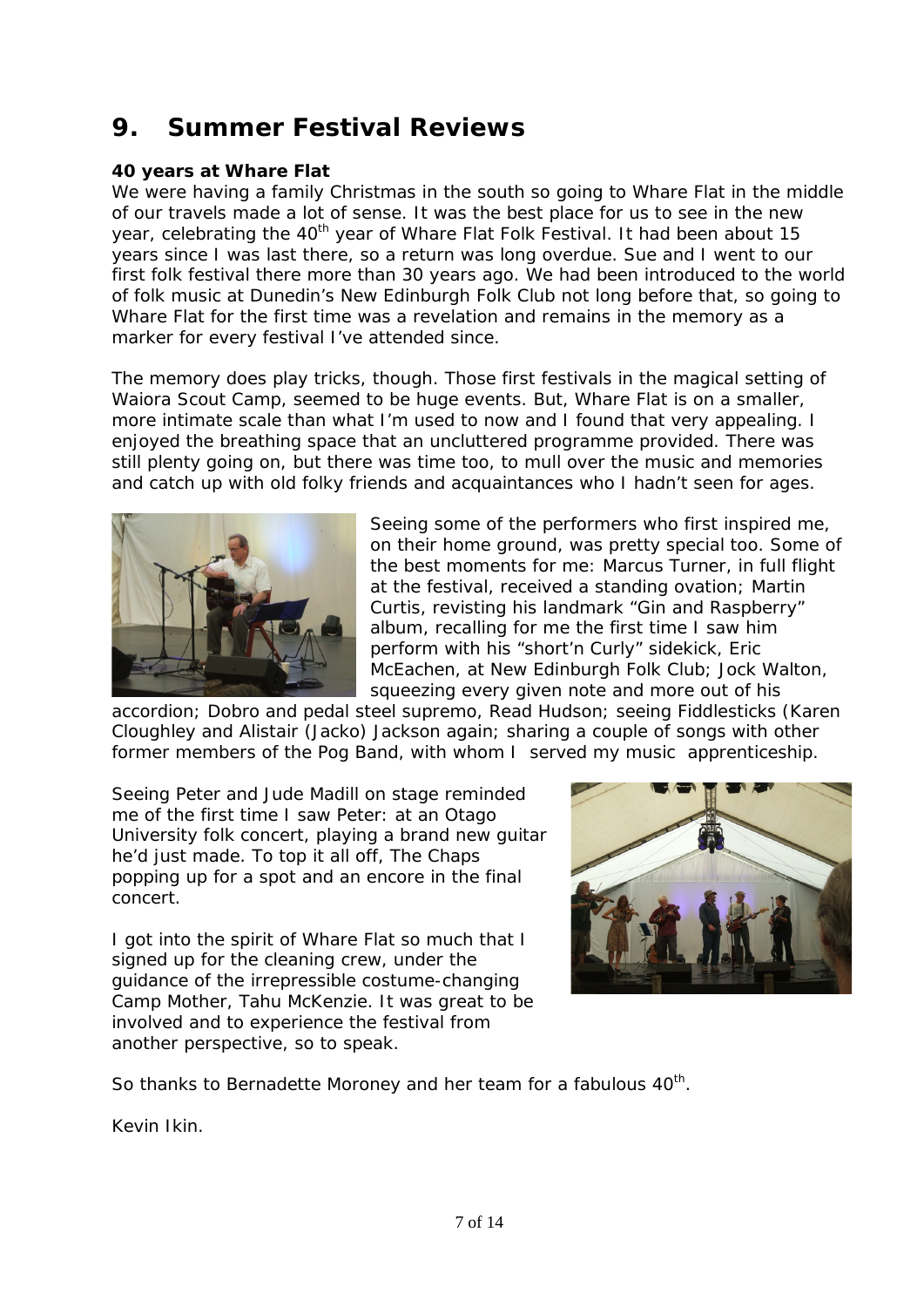# **9. Summer Festival Reviews**

#### **40 years at Whare Flat**

We were having a family Christmas in the south so going to Whare Flat in the middle of our travels made a lot of sense. It was the best place for us to see in the new year, celebrating the 40<sup>th</sup> year of Whare Flat Folk Festival. It had been about 15 years since I was last there, so a return was long overdue. Sue and I went to our first folk festival there more than 30 years ago. We had been introduced to the world of folk music at Dunedin's New Edinburgh Folk Club not long before that, so going to Whare Flat for the first time was a revelation and remains in the memory as a marker for every festival I've attended since.

The memory does play tricks, though. Those first festivals in the magical setting of Waiora Scout Camp, seemed to be huge events. But, Whare Flat is on a smaller, more intimate scale than what I'm used to now and I found that very appealing. I enjoyed the breathing space that an uncluttered programme provided. There was still plenty going on, but there was time too, to mull over the music and memories and catch up with old folky friends and acquaintances who I hadn't seen for ages.



Seeing some of the performers who first inspired me, on their home ground, was pretty special too. Some of the best moments for me: Marcus Turner, in full flight at the festival, received a standing ovation; Martin Curtis, revisting his landmark "Gin and Raspberry" album, recalling for me the first time I saw him perform with his "short'n Curly" sidekick, Eric McEachen, at New Edinburgh Folk Club; Jock Walton, squeezing every given note and more out of his

accordion; Dobro and pedal steel supremo, Read Hudson; seeing Fiddlesticks (Karen Cloughley and Alistair (Jacko) Jackson again; sharing a couple of songs with other former members of the Pog Band, with whom I served my music apprenticeship.

Seeing Peter and Jude Madill on stage reminded me of the first time I saw Peter: at an Otago University folk concert, playing a brand new guitar he'd just made. To top it all off, The Chaps popping up for a spot and an encore in the final concert.

I got into the spirit of Whare Flat so much that I signed up for the cleaning crew, under the guidance of the irrepressible costume-changing Camp Mother, Tahu McKenzie. It was great to be involved and to experience the festival from another perspective, so to speak.



So thanks to Bernadette Moroney and her team for a fabulous 40<sup>th</sup>.

Kevin Ikin.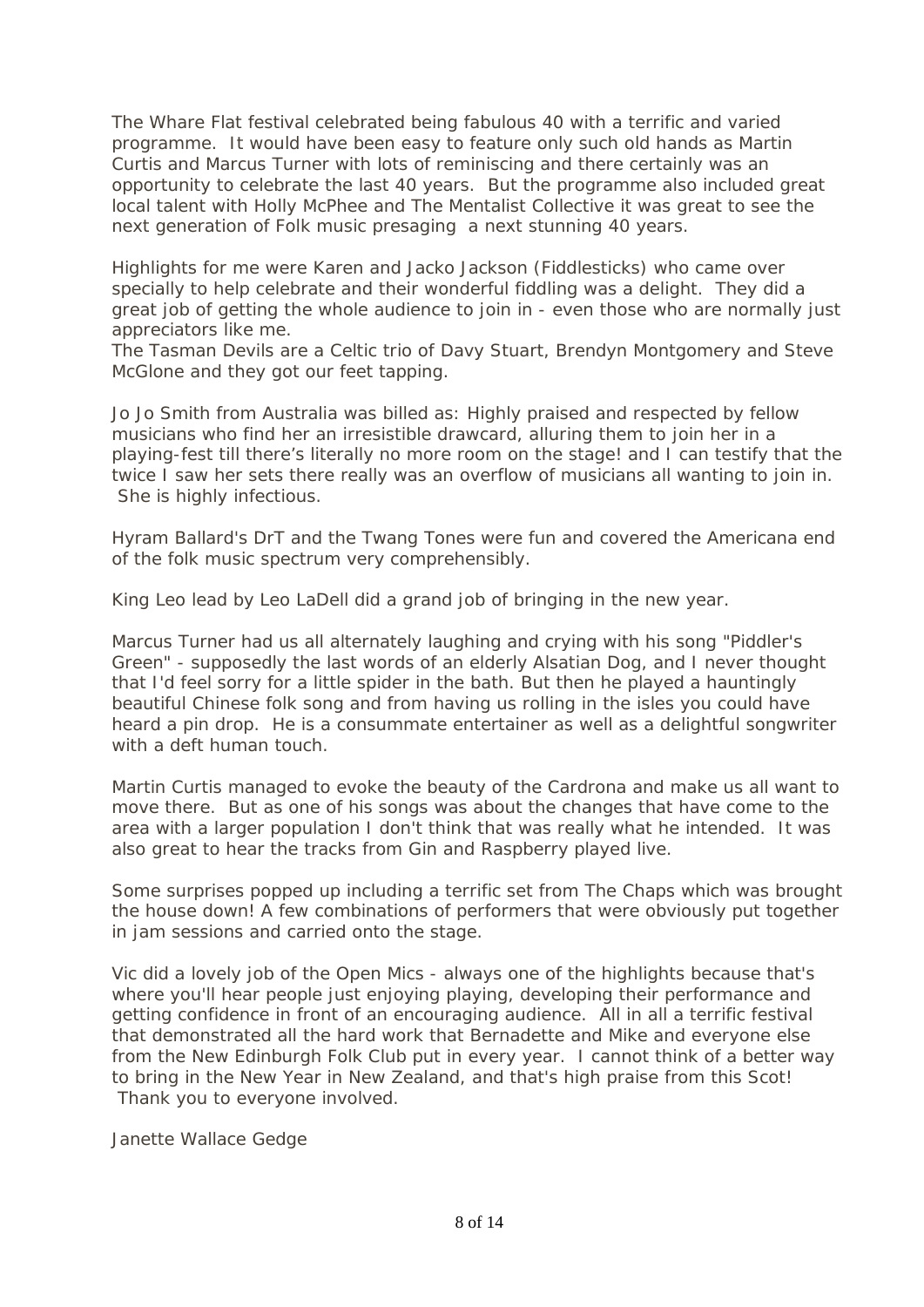The Whare Flat festival celebrated being fabulous 40 with a terrific and varied programme. It would have been easy to feature only such old hands as Martin Curtis and Marcus Turner with lots of reminiscing and there certainly was an opportunity to celebrate the last 40 years. But the programme also included great local talent with Holly McPhee and The Mentalist Collective it was great to see the next generation of Folk music presaging a next stunning 40 years.

Highlights for me were Karen and Jacko Jackson (Fiddlesticks) who came over specially to help celebrate and their wonderful fiddling was a delight. They did a great job of getting the whole audience to join in - even those who are normally just appreciators like me.

The Tasman Devils are a Celtic trio of Davy Stuart, Brendyn Montgomery and Steve McGlone and they got our feet tapping.

Jo Jo Smith from Australia was billed as: Highly praised and respected by fellow musicians who find her an irresistible drawcard, alluring them to join her in a playing-fest till there's literally no more room on the stage! and I can testify that the twice I saw her sets there really was an overflow of musicians all wanting to join in. She is highly infectious.

Hyram Ballard's DrT and the Twang Tones were fun and covered the Americana end of the folk music spectrum very comprehensibly.

King Leo lead by Leo LaDell did a grand job of bringing in the new year.

Marcus Turner had us all alternately laughing and crying with his song "Piddler's Green" - supposedly the last words of an elderly Alsatian Dog, and I never thought that I'd feel sorry for a little spider in the bath. But then he played a hauntingly beautiful Chinese folk song and from having us rolling in the isles you could have heard a pin drop. He is a consummate entertainer as well as a delightful songwriter with a deft human touch.

Martin Curtis managed to evoke the beauty of the Cardrona and make us all want to move there. But as one of his songs was about the changes that have come to the area with a larger population I don't think that was really what he intended. It was also great to hear the tracks from Gin and Raspberry played live.

Some surprises popped up including a terrific set from The Chaps which was brought the house down! A few combinations of performers that were obviously put together in jam sessions and carried onto the stage.

Vic did a lovely job of the Open Mics - always one of the highlights because that's where you'll hear people just enjoying playing, developing their performance and getting confidence in front of an encouraging audience. All in all a terrific festival that demonstrated all the hard work that Bernadette and Mike and everyone else from the New Edinburgh Folk Club put in every year. I cannot think of a better way to bring in the New Year in New Zealand, and that's high praise from this Scot! Thank you to everyone involved.

Janette Wallace Gedge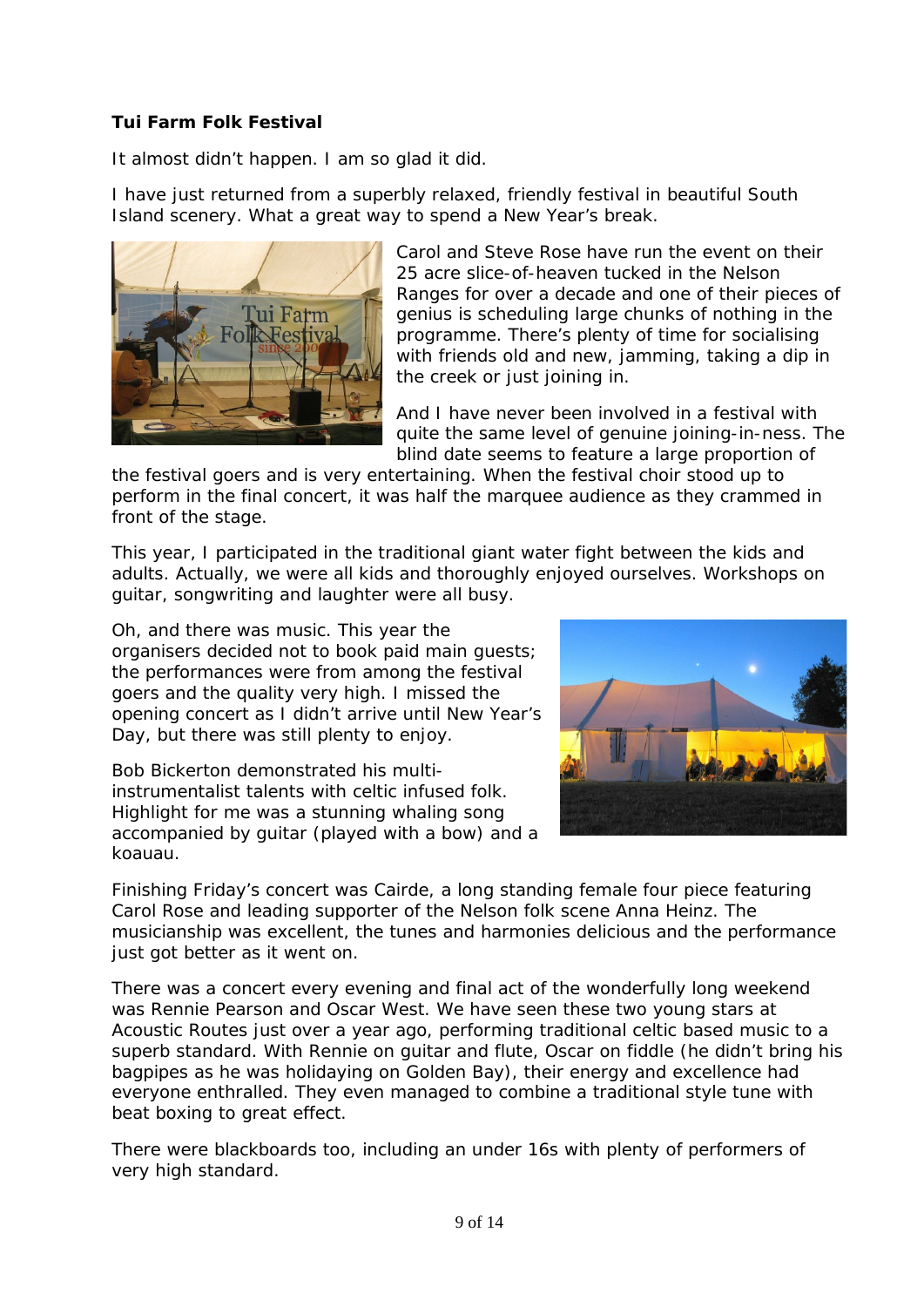#### **Tui Farm Folk Festival**

It almost didn't happen. I am so glad it did.

I have just returned from a superbly relaxed, friendly festival in beautiful South Island scenery. What a great way to spend a New Year's break.



Carol and Steve Rose have run the event on their 25 acre slice-of-heaven tucked in the Nelson Ranges for over a decade and one of their pieces of genius is scheduling large chunks of nothing in the programme. There's plenty of time for socialising with friends old and new, jamming, taking a dip in the creek or just joining in.

And I have never been involved in a festival with quite the same level of genuine joining-in-ness. The blind date seems to feature a large proportion of

the festival goers and is very entertaining. When the festival choir stood up to perform in the final concert, it was half the marquee audience as they crammed in front of the stage.

This year, I participated in the traditional giant water fight between the kids and adults. Actually, we were all kids and thoroughly enjoyed ourselves. Workshops on guitar, songwriting and laughter were all busy.

Oh, and there was music. This year the organisers decided not to book paid main guests; the performances were from among the festival goers and the quality very high. I missed the opening concert as I didn't arrive until New Year's Day, but there was still plenty to enjoy.

Bob Bickerton demonstrated his multiinstrumentalist talents with celtic infused folk. Highlight for me was a stunning whaling song accompanied by guitar (played with a bow) and a koauau.



Finishing Friday's concert was Cairde, a long standing female four piece featuring Carol Rose and leading supporter of the Nelson folk scene Anna Heinz. The musicianship was excellent, the tunes and harmonies delicious and the performance just got better as it went on.

There was a concert every evening and final act of the wonderfully long weekend was Rennie Pearson and Oscar West. We have seen these two young stars at Acoustic Routes just over a year ago, performing traditional celtic based music to a superb standard. With Rennie on guitar and flute, Oscar on fiddle (he didn't bring his bagpipes as he was holidaying on Golden Bay), their energy and excellence had everyone enthralled. They even managed to combine a traditional style tune with beat boxing to great effect.

There were blackboards too, including an under 16s with plenty of performers of very high standard.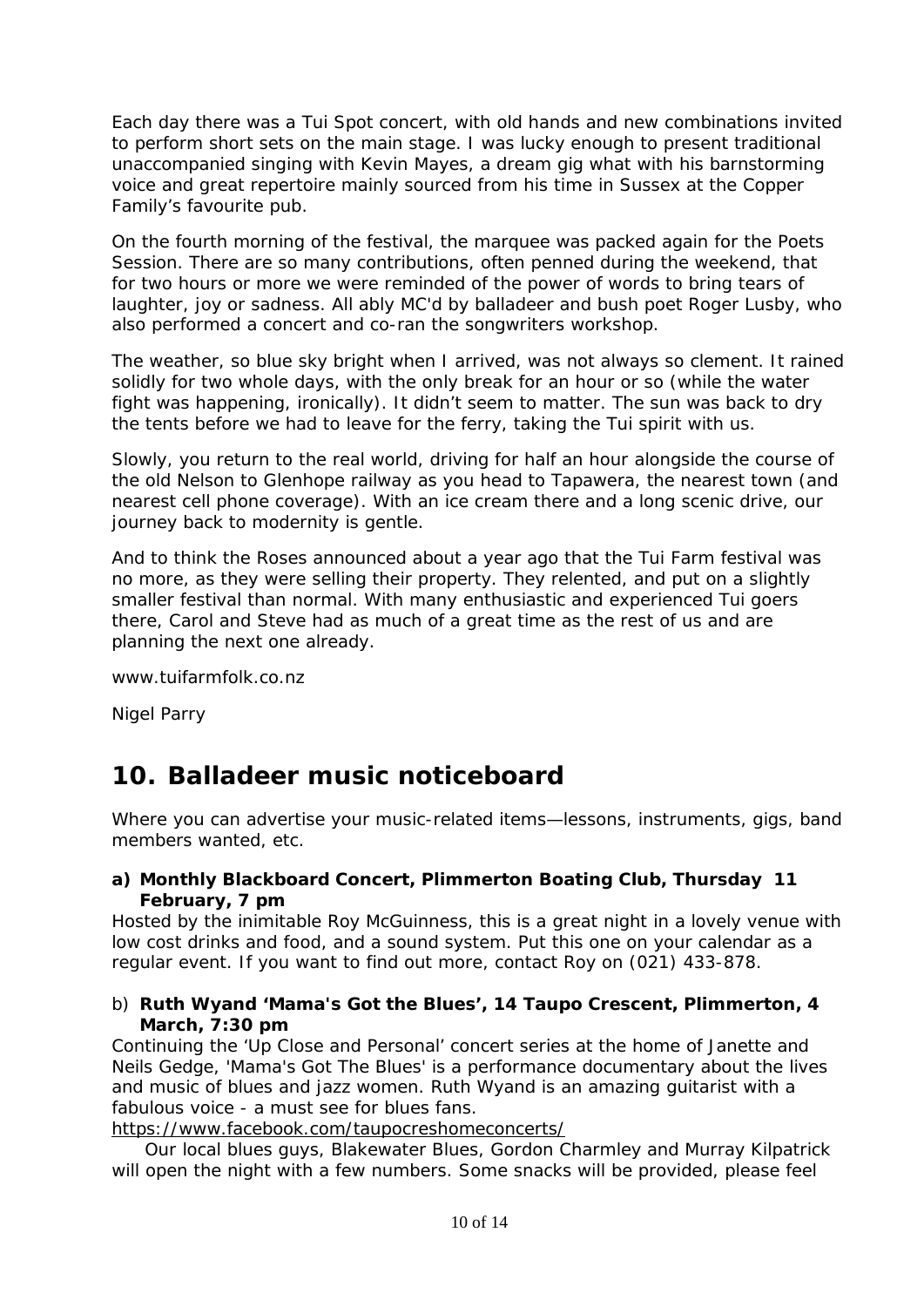Each day there was a Tui Spot concert, with old hands and new combinations invited to perform short sets on the main stage. I was lucky enough to present traditional unaccompanied singing with Kevin Mayes, a dream gig what with his barnstorming voice and great repertoire mainly sourced from his time in Sussex at the Copper Family's favourite pub.

On the fourth morning of the festival, the marquee was packed again for the Poets Session. There are so many contributions, often penned during the weekend, that for two hours or more we were reminded of the power of words to bring tears of laughter, joy or sadness. All ably MC'd by balladeer and bush poet Roger Lusby, who also performed a concert and co-ran the songwriters workshop.

The weather, so blue sky bright when I arrived, was not always so clement. It rained solidly for two whole days, with the only break for an hour or so (while the water fight was happening, ironically). It didn't seem to matter. The sun was back to dry the tents before we had to leave for the ferry, taking the Tui spirit with us.

Slowly, you return to the real world, driving for half an hour alongside the course of the old Nelson to Glenhope railway as you head to Tapawera, the nearest town (and nearest cell phone coverage). With an ice cream there and a long scenic drive, our journey back to modernity is gentle.

And to think the Roses announced about a year ago that the Tui Farm festival was no more, as they were selling their property. They relented, and put on a slightly smaller festival than normal. With many enthusiastic and experienced Tui goers there, Carol and Steve had as much of a great time as the rest of us and are planning the next one already.

www.tuifarmfolk.co.nz

Nigel Parry

## **10. Balladeer music noticeboard**

Where you can advertise your music-related items—lessons, instruments, gigs, band members wanted, etc.

#### **a) Monthly Blackboard Concert, Plimmerton Boating Club, Thursday 11 February, 7 pm**

Hosted by the inimitable Roy McGuinness, this is a great night in a lovely venue with low cost drinks and food, and a sound system. Put this one on your calendar as a regular event. If you want to find out more, contact Roy on (021) 433-878.

#### b) **Ruth Wyand 'Mama's Got the Blues', 14 Taupo Crescent, Plimmerton, 4 March, 7:30 pm**

Continuing the 'Up Close and Personal' concert series at the home of Janette and Neils Gedge, 'Mama's Got The Blues' is a performance documentary about the lives and music of blues and jazz women. Ruth Wyand is an amazing guitarist with a fabulous voice - a must see for blues fans.

[https://www.facebook.com/taupocreshomeconcerts/](https://owa.massey.ac.nz/owa/redir.aspx?SURL=DAcEmdDmhyGAVM5s81cB3u-C-iXraiX-im5Aun-F8dFLP4BYbCjTCGgAdAB0AHAAOgAvAC8AYQBjAG8AdQBzAHQAaQBjAHIAbwB1AHQAZQBzAC4AdQBzADUALgBsAGkAcwB0AC0AbQBhAG4AYQBnAGUALgBjAG8AbQAvAHQAcgBhAGMAawAvAGMAbABpAGMAawA_AHUAPQBmADkAZgA3ADAAMABmADcAYgBlADMAZQAyADcAMgA0AGUAZQA3AGMAOABjADAAYgAxACYAaQBkAD0AZgAwADAAZgA2ADMANAAyADAAOAAmAGUAPQBhAGMAYwBjAGUAMgA0ADEAMAA0AA..&URL=http%3a%2f%2facousticroutes.us5.list-manage.com%2ftrack%2fclick%3fu%3df9f700f7be3e2724ee7c8c0b1%26id%3df00f634208%26e%3daccce24104)

Our local blues guys, Blakewater Blues, Gordon Charmley and Murray Kilpatrick will open the night with a few numbers. Some snacks will be provided, please feel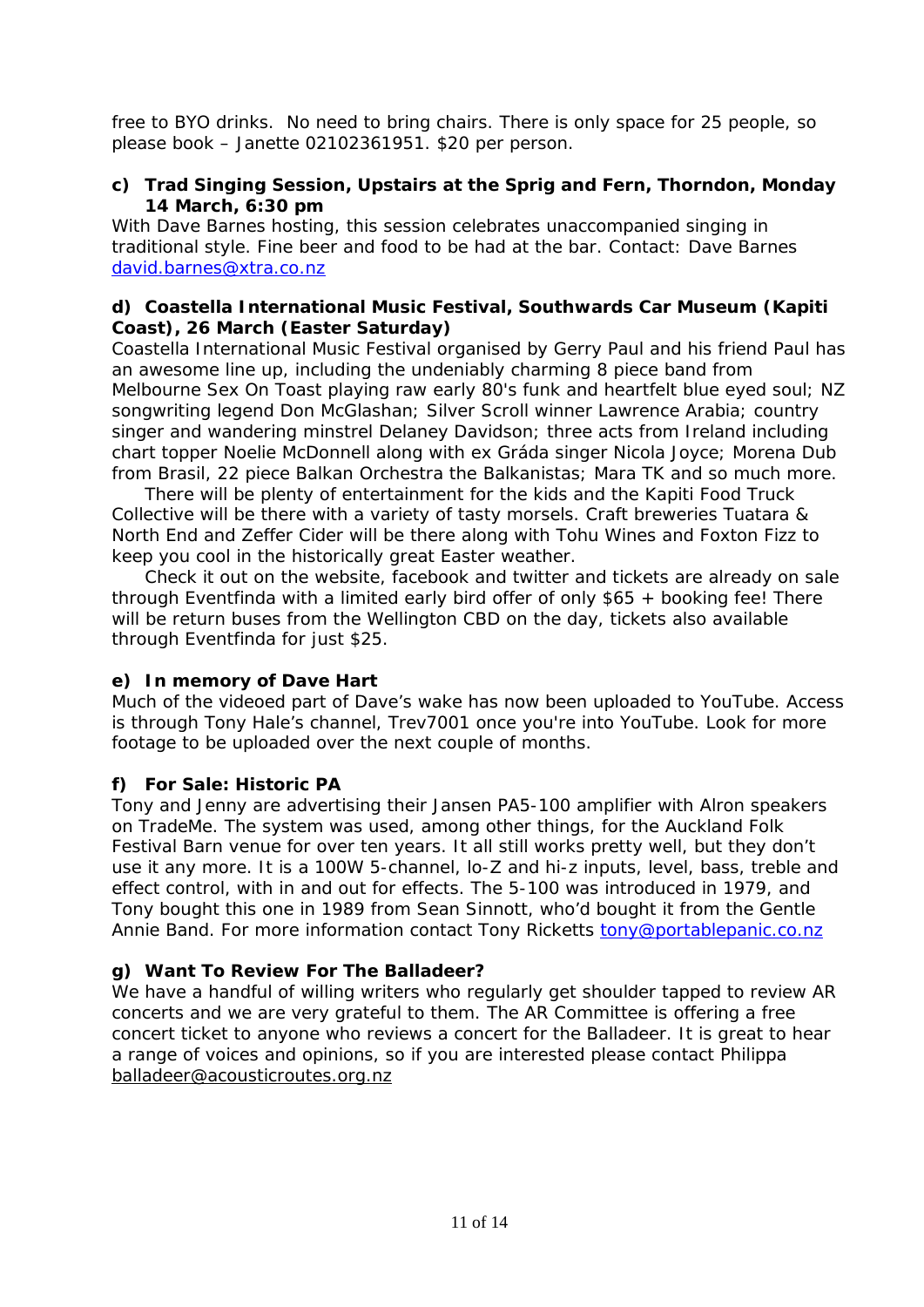free to BYO drinks. No need to bring chairs. There is only space for 25 people, so please book – Janette 02102361951. \$20 per person.

#### **c) Trad Singing Session, Upstairs at the Sprig and Fern, Thorndon, Monday 14 March, 6:30 pm**

With Dave Barnes hosting, this session celebrates unaccompanied singing in traditional style. Fine beer and food to be had at the bar. Contact: Dave Barnes [david.barnes@xtra.co.nz](mailto:david.barnes@xtra.co.nz)

#### **d) Coastella International Music Festival, Southwards Car Museum (Kapiti Coast), 26 March (Easter Saturday)**

Coastella International Music Festival organised by Gerry Paul and his friend Paul has an awesome line up, including the undeniably charming 8 piece band from Melbourne Sex On Toast playing raw early 80's funk and heartfelt blue eyed soul; NZ songwriting legend Don McGlashan; Silver Scroll winner Lawrence Arabia; country singer and wandering minstrel Delaney Davidson; three acts from Ireland including chart topper Noelie McDonnell along with ex Gráda singer Nicola Joyce; Morena Dub from Brasil, 22 piece Balkan Orchestra the Balkanistas; Mara TK and so much more.

There will be plenty of entertainment for the kids and the Kapiti Food Truck Collective will be there with a variety of tasty morsels. Craft breweries Tuatara & North End and Zeffer Cider will be there along with Tohu Wines and Foxton Fizz to keep you cool in the historically great Easter weather.

Check it out on the website, facebook and twitter and tickets are already on sale through Eventfinda with a limited early bird offer of only \$65 + booking fee! There will be return buses from the Wellington CBD on the day, tickets also available through Eventfinda for just \$25.

#### **e) In memory of Dave Hart**

Much of the videoed part of Dave's wake has now been uploaded to YouTube. Access is through Tony Hale's channel, Trev7001 once you're into YouTube. Look for more footage to be uploaded over the next couple of months.

#### **f) For Sale: Historic PA**

Tony and Jenny are advertising their Jansen PA5-100 amplifier with Alron speakers on TradeMe. The system was used, among other things, for the Auckland Folk Festival Barn venue for over ten years. It all still works pretty well, but they don't use it any more. It is a 100W 5-channel, lo-Z and hi-z inputs, level, bass, treble and effect control, with in and out for effects. The 5-100 was introduced in 1979, and Tony bought this one in 1989 from Sean Sinnott, who'd bought it from the Gentle Annie Band. For more information contact Tony Ricketts [tony@portablepanic.co.nz](mailto:tony@portablepanic.co.nz)

#### **g) Want To Review For The Balladeer?**

We have a handful of willing writers who regularly get shoulder tapped to review AR concerts and we are very grateful to them. The AR Committee is offering a free concert ticket to anyone who reviews a concert for the Balladeer. It is great to hear a range of voices and opinions, so if you are interested please contact Philippa [balladeer@acousticroutes.org.nz](mailto:balladeer@acousticroutes.org.nz)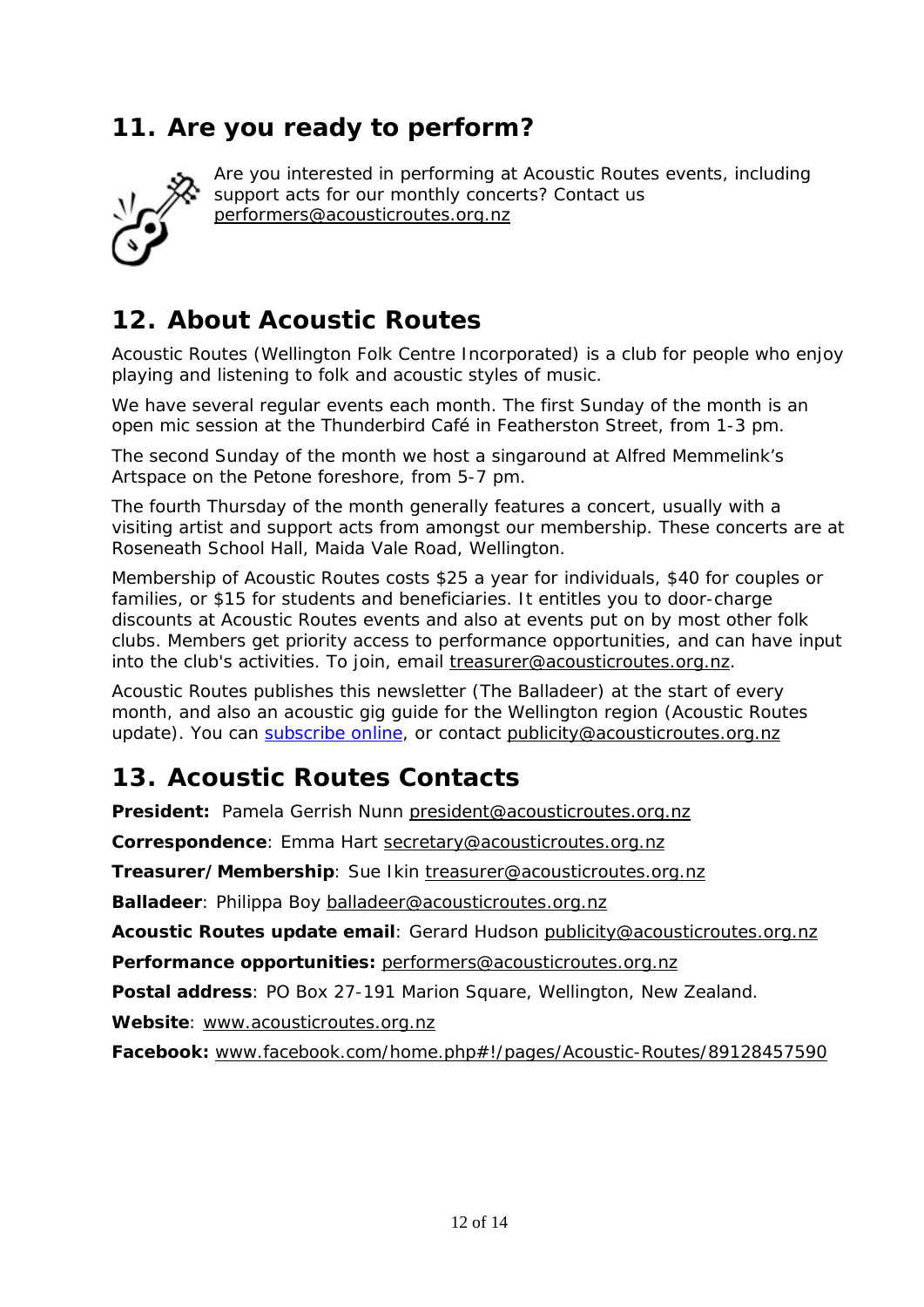# **11. Are you ready to perform?**



Are you interested in performing at Acoustic Routes events, including support acts for our monthly concerts? Contact us [performers@acousticroutes.org.nz](mailto:performers@acousticroutes.org.nz)

# **12. About Acoustic Routes**

Acoustic Routes (Wellington Folk Centre Incorporated) is a club for people who enjoy playing and listening to folk and acoustic styles of music.

We have several regular events each month. The first Sunday of the month is an open mic session at the Thunderbird Café in Featherston Street, from 1-3 pm.

The second Sunday of the month we host a singaround at Alfred Memmelink's Artspace on the Petone foreshore, from 5-7 pm.

The fourth Thursday of the month generally features a concert, usually with a visiting artist and support acts from amongst our membership. These concerts are at Roseneath School Hall, Maida Vale Road, Wellington.

Membership of Acoustic Routes costs \$25 a year for individuals, \$40 for couples or families, or \$15 for students and beneficiaries. It entitles you to door-charge discounts at Acoustic Routes events and also at events put on by most other folk clubs. Members get priority access to performance opportunities, and can have input into the club's activities. To join, email [treasurer@acousticroutes.org.nz.](mailto:treasurer@acousticroutes.org.nz)

Acoustic Routes publishes this newsletter (The Balladeer) at the start of every month, and also an acoustic gig guide for the Wellington region (Acoustic Routes update). You can [subscribe online,](http://eepurl.com/mP90b) or contact [publicity@acousticroutes.org.nz](mailto:publicity@acousticroutes.org.nz)

# **13. Acoustic Routes Contacts**

**President:** Pamela Gerrish Nunn [president@acousticroutes.org.nz](mailto:president@acousticroutes.org.nz)

**Correspondence**: Emma Hart [secretary@acousticroutes.org.nz](mailto:secretary@acousticroutes.org.nz)

**Treasurer/Membership**: Sue Ikin [treasurer@acousticroutes.org.nz](mailto:treasurer@acousticroutes.org.nz)

**Balladeer**: Philippa Boy [balladeer@acousticroutes.org.nz](mailto:balladeer@acousticroutes.org.nz)

**Acoustic Routes update email**: Gerard Hudson [publicity@acousticroutes.org.nz](mailto:publicity@acousticroutes.org.nz)

**Performance opportunities:** [performers@acousticroutes.org.nz](mailto:performers@acousticroutes.org.nz)

**Postal address**: PO Box 27-191 Marion Square, Wellington, New Zealand.

**Website**: [www.acousticroutes.org.nz](http://www.acousticroutes.org.nz/)

**Facebook:** [www.facebook.com/home.php#!/pages/Acoustic-Routes/89128457590](http://www.facebook.com/home.php#!/pages/Acoustic-Routes/89128457590)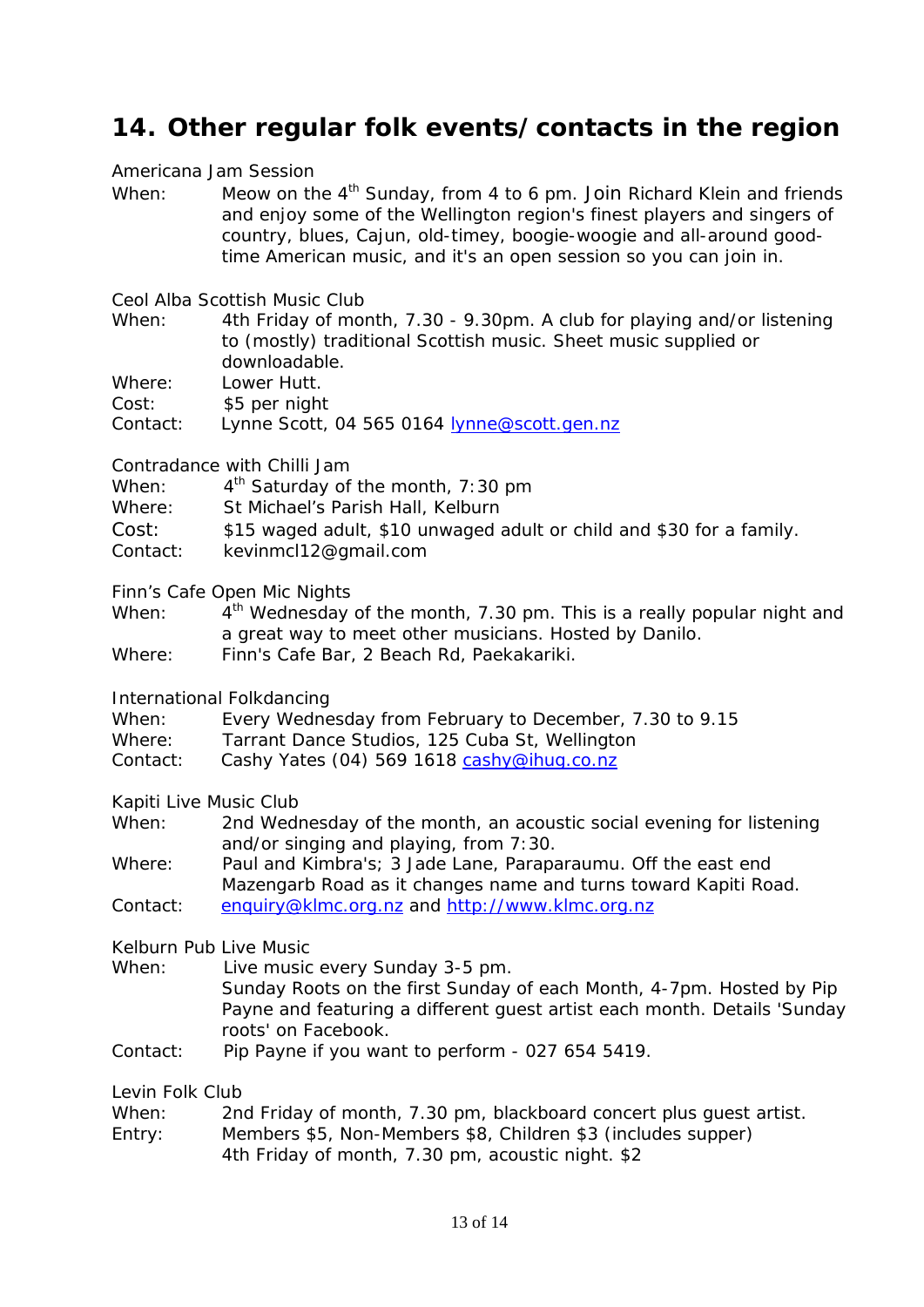## **14. Other regular folk events/contacts in the region**

Americana Jam Session

When: Meow on the 4<sup>th</sup> Sunday, from 4 to 6 pm. Join Richard Klein and friends and enjoy some of the Wellington region's finest players and singers of country, blues, Cajun, old-timey, boogie-woogie and all-around goodtime American music, and it's an open session so you can join in.

Ceol Alba Scottish Music Club

When: 4th Friday of month, 7.30 - 9.30pm. A club for playing and/or listening to (mostly) traditional Scottish music. Sheet music supplied or downloadable.

Where: Lower Hutt.

Cost: \$5 per night

Contact: Lynne Scott, 04 565 0164 [lynne@scott.gen.nz](mailto:lynne@scott.gen.nz)

Contradance with Chilli Jam

When:  $4<sup>th</sup>$  Saturday of the month, 7:30 pm

Where: St Michael's Parish Hall, Kelburn

Cost: \$15 waged adult, \$10 unwaged adult or child and \$30 for a family.

Contact: kevinmcl12@gmail.com

Finn's Cafe Open Mic Nights

When:  $4<sup>th</sup>$  Wednesday of the month, 7.30 pm. This is a really popular night and a great way to meet other musicians. Hosted by Danilo.

Where: Finn's Cafe Bar, 2 Beach Rd, Paekakariki.

International Folkdancing

| When: |  | Every Wednesday from February to December, 7.30 to 9.15 |  |  |  |  |
|-------|--|---------------------------------------------------------|--|--|--|--|
|-------|--|---------------------------------------------------------|--|--|--|--|

Where: Tarrant Dance Studios, 125 Cuba St, Wellington

Contact: Cashy Yates (04) 569 1618 [cashy@ihug.co.nz](mailto:cashy@ihug.co.nz)

Kapiti Live Music Club

When: 2nd Wednesday of the month, an acoustic social evening for listening and/or singing and playing, from 7:30.

Where: Paul and Kimbra's; 3 Jade Lane, Paraparaumu. Off the east end Mazengarb Road as it changes name and turns toward Kapiti Road. Contact: [enquiry@klmc.org.nz](mailto:enquiry@klmc.org.nz) and [http://www.klmc.org.nz](http://www.klmc.org.nz/)

Kelburn Pub Live Music When: Live music every Sunday 3-5 pm.

Sunday Roots on the first Sunday of each Month, 4-7pm. Hosted by Pip Payne and featuring a different guest artist each month. Details 'Sunday roots' on Facebook.

Contact: Pip Payne if you want to perform - 027 654 5419.

Levin Folk Club

| When: | 2nd Friday of month, 7.30 pm, blackboard concert plus guest artist. |  |  |  |  |
|-------|---------------------------------------------------------------------|--|--|--|--|
|-------|---------------------------------------------------------------------|--|--|--|--|

Entry: Members \$5, Non-Members \$8, Children \$3 (includes supper) 4th Friday of month, 7.30 pm, acoustic night. \$2